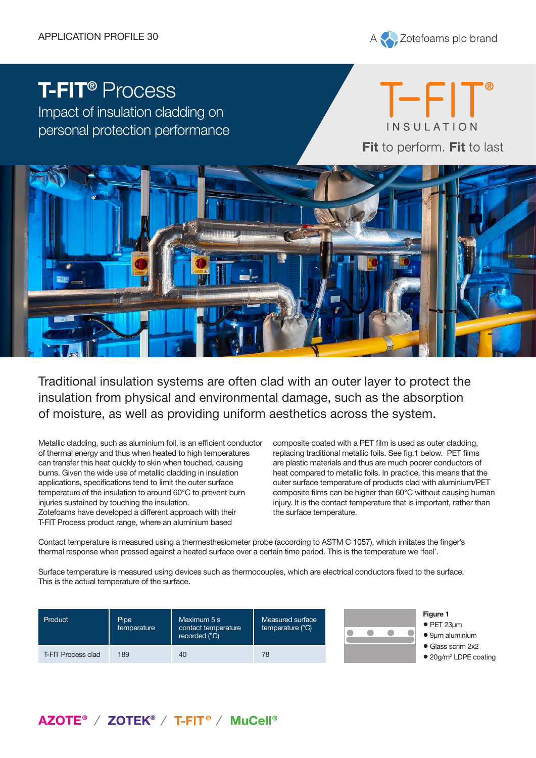

## **T-FIT®** Process

Impact of insulation cladding on personal protection performance





Traditional insulation systems are often clad with an outer layer to protect the insulation from physical and environmental damage, such as the absorption of moisture, as well as providing uniform aesthetics across the system.

Metallic cladding, such as aluminium foil, is an efficient conductor of thermal energy and thus when heated to high temperatures can transfer this heat quickly to skin when touched, causing burns. Given the wide use of metallic cladding in insulation applications, specifications tend to limit the outer surface temperature of the insulation to around 60°C to prevent burn injuries sustained by touching the insulation. Zotefoams have developed a different approach with their T-FIT Process product range, where an aluminium based

composite coated with a PET film is used as outer cladding, replacing traditional metallic foils. See fig.1 below. PET films are plastic materials and thus are much poorer conductors of heat compared to metallic foils. In practice, this means that the outer surface temperature of products clad with aluminium/PET composite films can be higher than 60°C without causing human injury. It is the contact temperature that is important, rather than the surface temperature.

Contact temperature is measured using a thermesthesiometer probe (according to ASTM C 1057), which imitates the finger's thermal response when pressed against a heated surface over a certain time period. This is the temperature we 'feel'.

Surface temperature is measured using devices such as thermocouples, which are electrical conductors fixed to the surface. This is the actual temperature of the surface.

| Product            | <b>Pipe</b><br>temperature | Maximum 5 s<br>contact temperature<br>recorded (°C) | Measured surface<br>temperature (°C) |  |
|--------------------|----------------------------|-----------------------------------------------------|--------------------------------------|--|
| T-FIT Process clad | 189                        | 40                                                  | 78                                   |  |



- **Figure 1**
- PET 23µm
- 9µm aluminium
- Glass scrim 2x2
- 20g/m<sup>2</sup> LDPE coating

## AZOTE<sup>®</sup> / ZOTEK<sup>®</sup> / T-FIT<sup>®</sup> / MuCell<sup>®</sup>